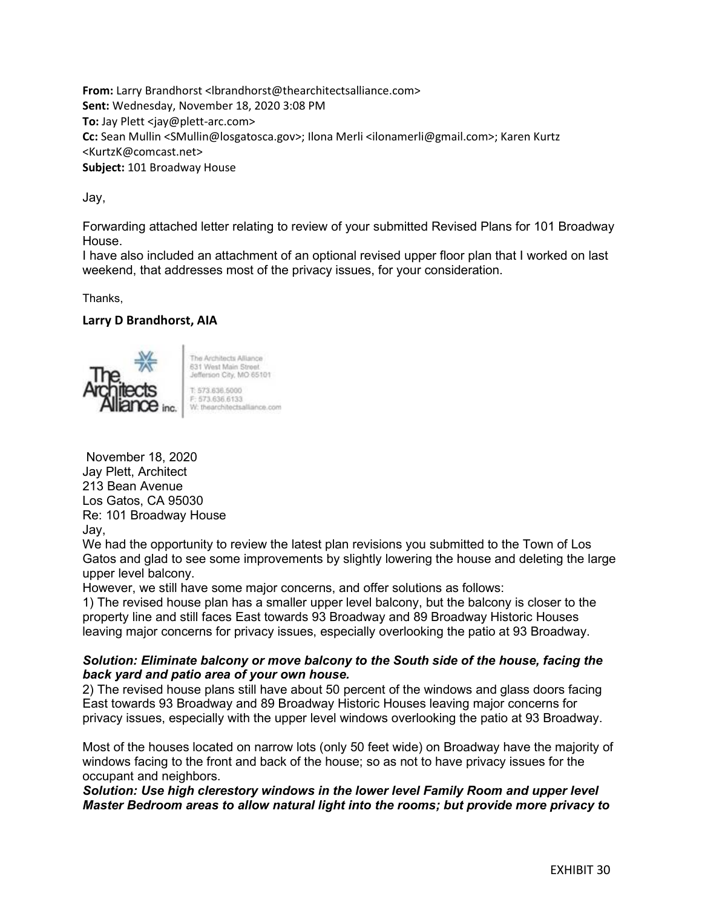**From:** Larry Brandhorst <lbrandhorst@thearchitectsalliance.com> **Sent:** Wednesday, November 18, 2020 3:08 PM **To:** Jay Plett <jay@plett-arc.com> **Cc:** Sean Mullin <SMullin@losgatosca.gov>; Ilona Merli <ilonamerli@gmail.com>; Karen Kurtz <KurtzK@comcast.net> **Subject:** 101 Broadway House

Jay,

Forwarding attached letter relating to review of your submitted Revised Plans for 101 Broadway House.

I have also included an attachment of an optional revised upper floor plan that I worked on last weekend, that addresses most of the privacy issues, for your consideration.

Thanks,

## **Larry D Brandhorst, AIA**



The Architects Alliance 631 West Main Street Jefferson City, MO 65101 1:573 636 5000 F: 573.636.6133<br>W: thearchitectsalliance.com

November 18, 2020 Jay Plett, Architect 213 Bean Avenue Los Gatos, CA 95030 Re: 101 Broadway House Jay,

We had the opportunity to review the latest plan revisions you submitted to the Town of Los Gatos and glad to see some improvements by slightly lowering the house and deleting the large upper level balcony.

However, we still have some major concerns, and offer solutions as follows:

1) The revised house plan has a smaller upper level balcony, but the balcony is closer to the property line and still faces East towards 93 Broadway and 89 Broadway Historic Houses leaving major concerns for privacy issues, especially overlooking the patio at 93 Broadway.

## *Solution: Eliminate balcony or move balcony to the South side of the house, facing the back yard and patio area of your own house.*

2) The revised house plans still have about 50 percent of the windows and glass doors facing East towards 93 Broadway and 89 Broadway Historic Houses leaving major concerns for privacy issues, especially with the upper level windows overlooking the patio at 93 Broadway.

Most of the houses located on narrow lots (only 50 feet wide) on Broadway have the majority of windows facing to the front and back of the house; so as not to have privacy issues for the occupant and neighbors.

*Solution: Use high clerestory windows in the lower level Family Room and upper level Master Bedroom areas to allow natural light into the rooms; but provide more privacy to*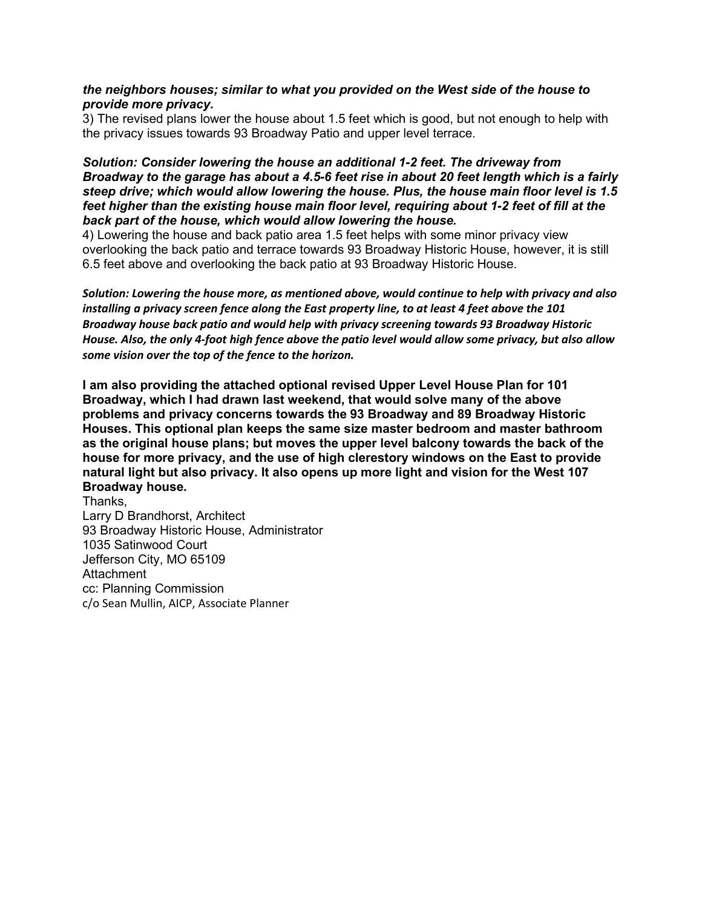## *the neighbors houses; similar to what you provided on the West side of the house to provide more privacy.*

3) The revised plans lower the house about 1.5 feet which is good, but not enough to help with the privacy issues towards 93 Broadway Patio and upper level terrace.

## *Solution: Consider lowering the house an additional 1-2 feet. The driveway from Broadway to the garage has about a 4.5-6 feet rise in about 20 feet length which is a fairly steep drive; which would allow lowering the house. Plus, the house main floor level is 1.5 feet higher than the existing house main floor level, requiring about 1-2 feet of fill at the back part of the house, which would allow lowering the house.*

4) Lowering the house and back patio area 1.5 feet helps with some minor privacy view overlooking the back patio and terrace towards 93 Broadway Historic House, however, it is still 6.5 feet above and overlooking the back patio at 93 Broadway Historic House.

*Solution: Lowering the house more, as mentioned above, would continue to help with privacy and also installing a privacy screen fence along the East property line, to at least 4 feet above the 101 Broadway house back patio and would help with privacy screening towards 93 Broadway Historic House. Also, the only 4-foot high fence above the patio level would allow some privacy, but also allow some vision over the top of the fence to the horizon.*

**I am also providing the attached optional revised Upper Level House Plan for 101 Broadway, which I had drawn last weekend, that would solve many of the above problems and privacy concerns towards the 93 Broadway and 89 Broadway Historic Houses. This optional plan keeps the same size master bedroom and master bathroom as the original house plans; but moves the upper level balcony towards the back of the house for more privacy, and the use of high clerestory windows on the East to provide natural light but also privacy. It also opens up more light and vision for the West 107 Broadway house.** 

Thanks, Larry D Brandhorst, Architect 93 Broadway Historic House, Administrator 1035 Satinwood Court Jefferson City, MO 65109 **Attachment** cc: Planning Commission c/o Sean Mullin, AICP, Associate Planner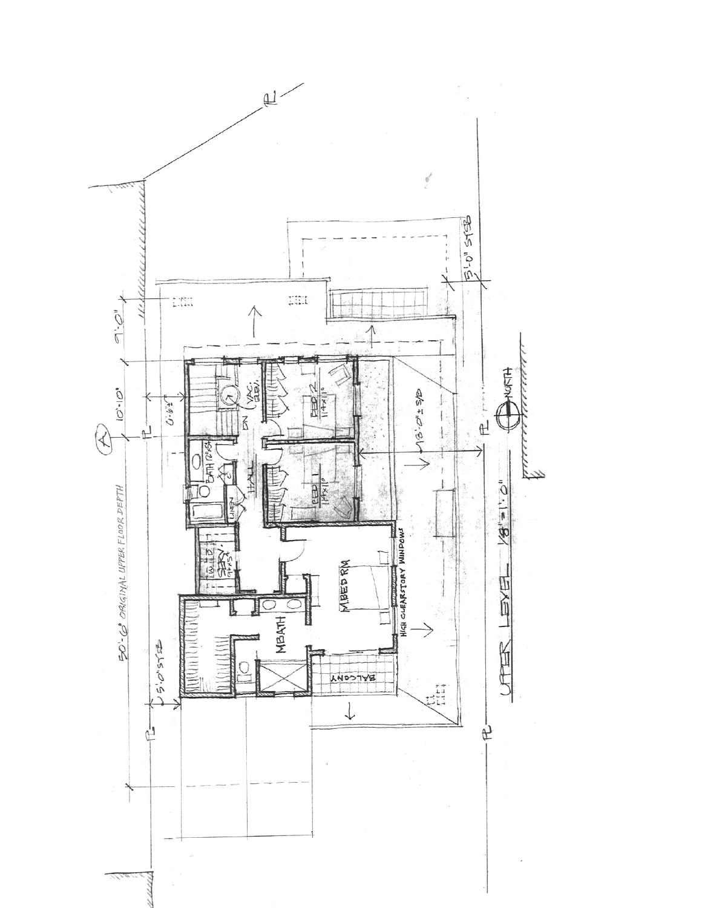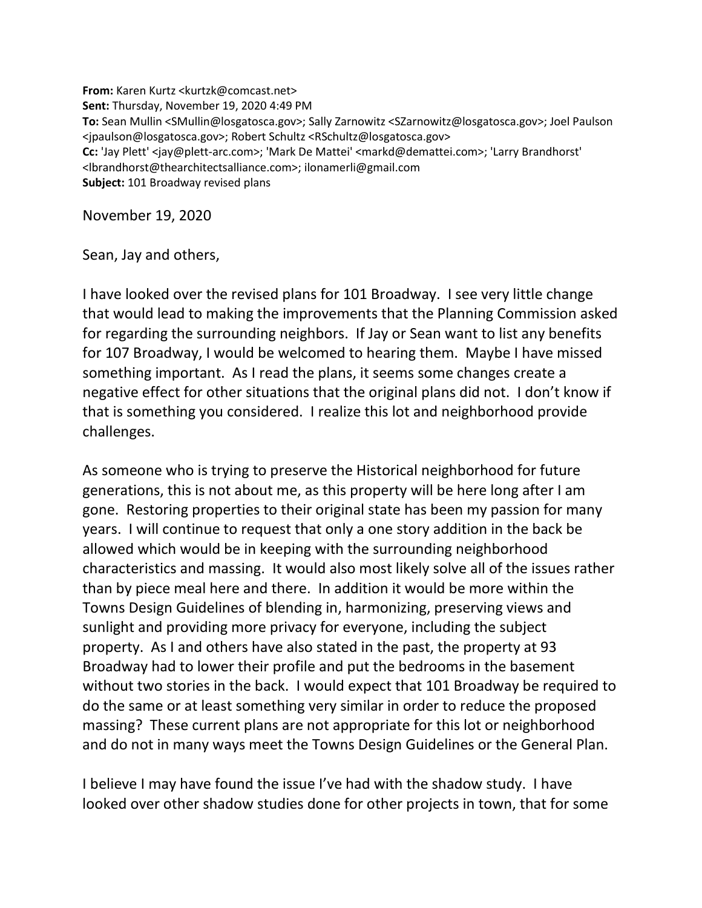**From:** Karen Kurtz <kurtzk@comcast.net> **Sent:** Thursday, November 19, 2020 4:49 PM **To:** Sean Mullin <SMullin@losgatosca.gov>; Sally Zarnowitz <SZarnowitz@losgatosca.gov>; Joel Paulson <jpaulson@losgatosca.gov>; Robert Schultz <RSchultz@losgatosca.gov> **Cc:** 'Jay Plett' <jay@plett-arc.com>; 'Mark De Mattei' <markd@demattei.com>; 'Larry Brandhorst' <lbrandhorst@thearchitectsalliance.com>; ilonamerli@gmail.com **Subject:** 101 Broadway revised plans

November 19, 2020

Sean, Jay and others,

I have looked over the revised plans for 101 Broadway. I see very little change that would lead to making the improvements that the Planning Commission asked for regarding the surrounding neighbors. If Jay or Sean want to list any benefits for 107 Broadway, I would be welcomed to hearing them. Maybe I have missed something important. As I read the plans, it seems some changes create a negative effect for other situations that the original plans did not. I don't know if that is something you considered. I realize this lot and neighborhood provide challenges.

As someone who is trying to preserve the Historical neighborhood for future generations, this is not about me, as this property will be here long after I am gone. Restoring properties to their original state has been my passion for many years. I will continue to request that only a one story addition in the back be allowed which would be in keeping with the surrounding neighborhood characteristics and massing. It would also most likely solve all of the issues rather than by piece meal here and there. In addition it would be more within the Towns Design Guidelines of blending in, harmonizing, preserving views and sunlight and providing more privacy for everyone, including the subject property. As I and others have also stated in the past, the property at 93 Broadway had to lower their profile and put the bedrooms in the basement without two stories in the back. I would expect that 101 Broadway be required to do the same or at least something very similar in order to reduce the proposed massing? These current plans are not appropriate for this lot or neighborhood and do not in many ways meet the Towns Design Guidelines or the General Plan.

I believe I may have found the issue I've had with the shadow study. I have looked over other shadow studies done for other projects in town, that for some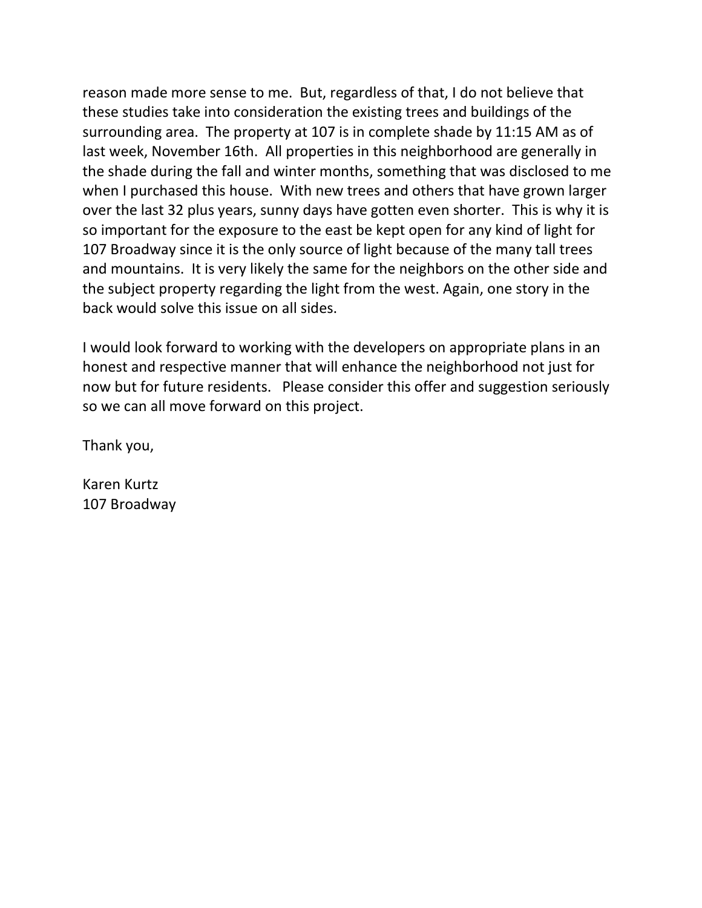reason made more sense to me. But, regardless of that, I do not believe that these studies take into consideration the existing trees and buildings of the surrounding area. The property at 107 is in complete shade by 11:15 AM as of last week, November 16th. All properties in this neighborhood are generally in the shade during the fall and winter months, something that was disclosed to me when I purchased this house. With new trees and others that have grown larger over the last 32 plus years, sunny days have gotten even shorter. This is why it is so important for the exposure to the east be kept open for any kind of light for 107 Broadway since it is the only source of light because of the many tall trees and mountains. It is very likely the same for the neighbors on the other side and the subject property regarding the light from the west. Again, one story in the back would solve this issue on all sides.

I would look forward to working with the developers on appropriate plans in an honest and respective manner that will enhance the neighborhood not just for now but for future residents. Please consider this offer and suggestion seriously so we can all move forward on this project.

Thank you,

Karen Kurtz 107 Broadway